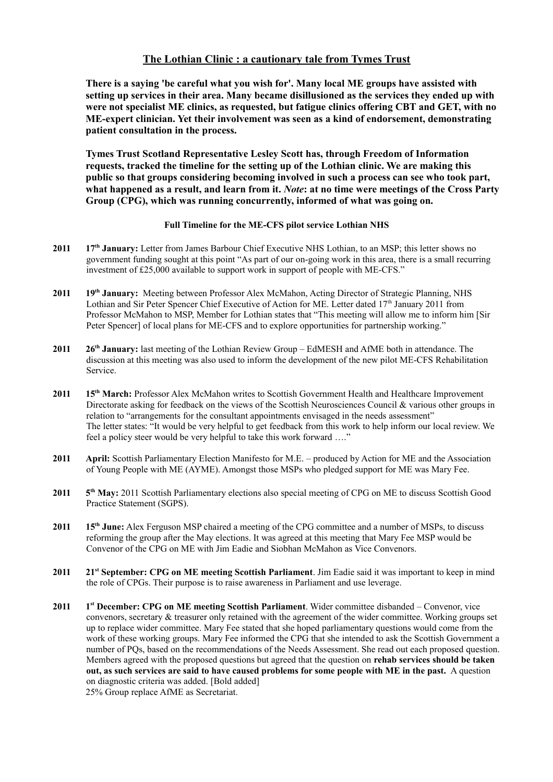## **The Lothian Clinic : a cautionary tale from Tymes Trust**

**There is a saying 'be careful what you wish for'. Many local ME groups have assisted with setting up services in their area. Many became disillusioned as the services they ended up with were not specialist ME clinics, as requested, but fatigue clinics offering CBT and GET, with no ME-expert clinician. Yet their involvement was seen as a kind of endorsement, demonstrating patient consultation in the process.** 

**Tymes Trust Scotland Representative Lesley Scott has, through Freedom of Information requests, tracked the timeline for the setting up of the Lothian clinic. We are making this public so that groups considering becoming involved in such a process can see who took part, what happened as a result, and learn from it.** *Note***: at no time were meetings of the Cross Party Group (CPG), which was running concurrently, informed of what was going on.**

## **Full Timeline for the ME-CFS pilot service Lothian NHS**

- **2011 17th January:** Letter from James Barbour Chief Executive NHS Lothian, to an MSP; this letter shows no government funding sought at this point "As part of our on-going work in this area, there is a small recurring investment of £25,000 available to support work in support of people with ME-CFS."
- **2011 19th January:** Meeting between Professor Alex McMahon, Acting Director of Strategic Planning, NHS Lothian and Sir Peter Spencer Chief Executive of Action for ME. Letter dated 17<sup>th</sup> January 2011 from Professor McMahon to MSP, Member for Lothian states that "This meeting will allow me to inform him [Sir Peter Spencer] of local plans for ME-CFS and to explore opportunities for partnership working."
- **2011 26th January:** last meeting of the Lothian Review Group EdMESH and AfME both in attendance. The discussion at this meeting was also used to inform the development of the new pilot ME-CFS Rehabilitation Service.
- **2011 15th March:** Professor Alex McMahon writes to Scottish Government Health and Healthcare Improvement Directorate asking for feedback on the views of the Scottish Neurosciences Council & various other groups in relation to "arrangements for the consultant appointments envisaged in the needs assessment" The letter states: "It would be very helpful to get feedback from this work to help inform our local review. We feel a policy steer would be very helpful to take this work forward …."
- **2011 April:** Scottish Parliamentary Election Manifesto for M.E. produced by Action for ME and the Association of Young People with ME (AYME). Amongst those MSPs who pledged support for ME was Mary Fee.
- **2011 5** 5<sup>th</sup> May: 2011 Scottish Parliamentary elections also special meeting of CPG on ME to discuss Scottish Good Practice Statement (SGPS).
- **2011 15th June:** Alex Ferguson MSP chaired a meeting of the CPG committee and a number of MSPs, to discuss reforming the group after the May elections. It was agreed at this meeting that Mary Fee MSP would be Convenor of the CPG on ME with Jim Eadie and Siobhan McMahon as Vice Convenors.
- **2011 21st September: CPG on ME meeting Scottish Parliament**. Jim Eadie said it was important to keep in mind the role of CPGs. Their purpose is to raise awareness in Parliament and use leverage.
- **2011 1 st December: CPG on ME meeting Scottish Parliament**. Wider committee disbanded – Convenor, vice convenors, secretary  $&$  treasurer only retained with the agreement of the wider committee. Working groups set up to replace wider committee. Mary Fee stated that she hoped parliamentary questions would come from the work of these working groups. Mary Fee informed the CPG that she intended to ask the Scottish Government a number of PQs, based on the recommendations of the Needs Assessment. She read out each proposed question. Members agreed with the proposed questions but agreed that the question on **rehab services should be taken out, as such services are said to have caused problems for some people with ME in the past.** A question on diagnostic criteria was added. [Bold added] 25% Group replace AfME as Secretariat.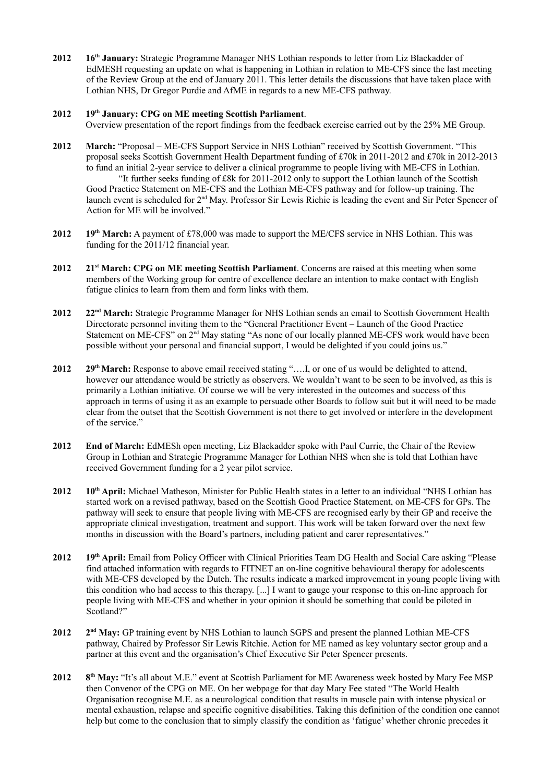**2012 16th January:** Strategic Programme Manager NHS Lothian responds to letter from Liz Blackadder of EdMESH requesting an update on what is happening in Lothian in relation to ME-CFS since the last meeting of the Review Group at the end of January 2011. This letter details the discussions that have taken place with Lothian NHS, Dr Gregor Purdie and AfME in regards to a new ME-CFS pathway.

## **2012 19th January: CPG on ME meeting Scottish Parliament**.

Overview presentation of the report findings from the feedback exercise carried out by the 25% ME Group.

- **2012 March:** "Proposal ME-CFS Support Service in NHS Lothian" received by Scottish Government. "This proposal seeks Scottish Government Health Department funding of £70k in 2011-2012 and £70k in 2012-2013 to fund an initial 2-year service to deliver a clinical programme to people living with ME-CFS in Lothian. "It further seeks funding of £8k for 2011-2012 only to support the Lothian launch of the Scottish Good Practice Statement on ME-CFS and the Lothian ME-CFS pathway and for follow-up training. The launch event is scheduled for 2nd May. Professor Sir Lewis Richie is leading the event and Sir Peter Spencer of Action for ME will be involved."
- **2012 19th March:** A payment of £78,000 was made to support the ME/CFS service in NHS Lothian. This was funding for the 2011/12 financial year.
- **2012 21st March: CPG on ME meeting Scottish Parliament**. Concerns are raised at this meeting when some members of the Working group for centre of excellence declare an intention to make contact with English fatigue clinics to learn from them and form links with them.
- **2012 22nd March:** Strategic Programme Manager for NHS Lothian sends an email to Scottish Government Health Directorate personnel inviting them to the "General Practitioner Event – Launch of the Good Practice Statement on ME-CFS" on 2<sup>nd</sup> May stating "As none of our locally planned ME-CFS work would have been possible without your personal and financial support, I would be delighted if you could joins us."
- **2012 29th March:** Response to above email received stating "….I, or one of us would be delighted to attend, however our attendance would be strictly as observers. We wouldn't want to be seen to be involved, as this is primarily a Lothian initiative. Of course we will be very interested in the outcomes and success of this approach in terms of using it as an example to persuade other Boards to follow suit but it will need to be made clear from the outset that the Scottish Government is not there to get involved or interfere in the development of the service."
- **2012 End of March:** EdMESh open meeting, Liz Blackadder spoke with Paul Currie, the Chair of the Review Group in Lothian and Strategic Programme Manager for Lothian NHS when she is told that Lothian have received Government funding for a 2 year pilot service.
- **2012 10th April:** Michael Matheson, Minister for Public Health states in a letter to an individual "NHS Lothian has started work on a revised pathway, based on the Scottish Good Practice Statement, on ME-CFS for GPs. The pathway will seek to ensure that people living with ME-CFS are recognised early by their GP and receive the appropriate clinical investigation, treatment and support. This work will be taken forward over the next few months in discussion with the Board's partners, including patient and carer representatives."
- **2012 19th April:** Email from Policy Officer with Clinical Priorities Team DG Health and Social Care asking "Please find attached information with regards to FITNET an on-line cognitive behavioural therapy for adolescents with ME-CFS developed by the Dutch. The results indicate a marked improvement in young people living with this condition who had access to this therapy. [...] I want to gauge your response to this on-line approach for people living with ME-CFS and whether in your opinion it should be something that could be piloted in Scotland?"
- **2012 2** 2<sup>nd</sup> May: GP training event by NHS Lothian to launch SGPS and present the planned Lothian ME-CFS pathway, Chaired by Professor Sir Lewis Ritchie. Action for ME named as key voluntary sector group and a partner at this event and the organisation's Chief Executive Sir Peter Spencer presents.
- **2012 8 th May:** "It's all about M.E." event at Scottish Parliament for ME Awareness week hosted by Mary Fee MSP then Convenor of the CPG on ME. On her webpage for that day Mary Fee stated "The World Health Organisation recognise M.E. as a neurological condition that results in muscle pain with intense physical or mental exhaustion, relapse and specific cognitive disabilities. Taking this definition of the condition one cannot help but come to the conclusion that to simply classify the condition as 'fatigue' whether chronic precedes it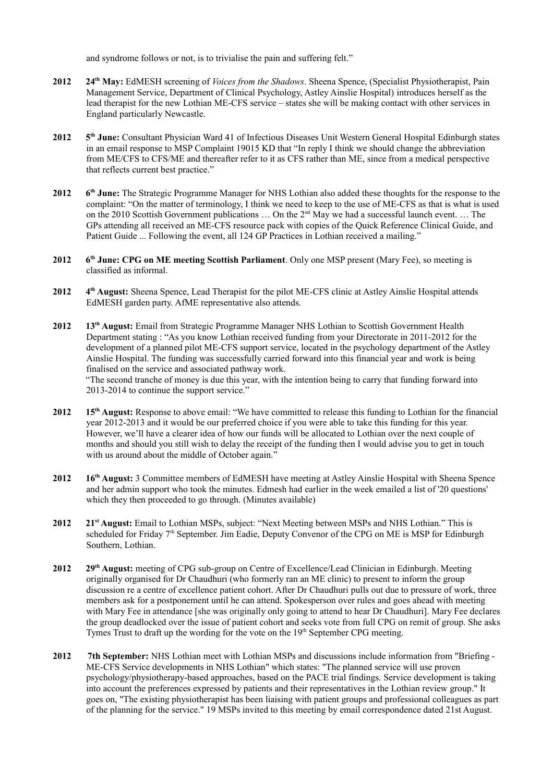and syndrome follows or not, is to trivialise the pain and suffering felt."

- **2012 24th May:** EdMESH screening of *Voices from the Shadows*. Sheena Spence, (Specialist Physiotherapist, Pain Management Service, Department of Clinical Psychology, Astley Ainslie Hospital) introduces herself as the lead therapist for the new Lothian ME-CFS service – states she will be making contact with other services in England particularly Newcastle.
- **2012 5** 5<sup>th</sup> June: Consultant Physician Ward 41 of Infectious Diseases Unit Western General Hospital Edinburgh states in an email response to MSP Complaint 19015 KD that "In reply I think we should change the abbreviation from ME/CFS to CFS/ME and thereafter refer to it as CFS rather than ME, since from a medical perspective that reflects current best practice."
- **2012 6 th June:** The Strategic Programme Manager for NHS Lothian also added these thoughts for the response to the complaint: "On the matter of terminology, I think we need to keep to the use of ME-CFS as that is what is used on the 2010 Scottish Government publications ... On the 2<sup>nd</sup> May we had a successful launch event. ... The GPs attending all received an ME-CFS resource pack with copies of the Quick Reference Clinical Guide, and Patient Guide ... Following the event, all 124 GP Practices in Lothian received a mailing."
- **2012 6 th June: CPG on ME meeting Scottish Parliament**. Only one MSP present (Mary Fee), so meeting is classified as informal.
- **2012 4 th August:** Sheena Spence, Lead Therapist for the pilot ME-CFS clinic at Astley Ainslie Hospital attends EdMESH garden party. AfME representative also attends.
- **2012 13th August:** Email from Strategic Programme Manager NHS Lothian to Scottish Government Health Department stating : "As you know Lothian received funding from your Directorate in 2011-2012 for the development of a planned pilot ME-CFS support service, located in the psychology department of the Astley Ainslie Hospital. The funding was successfully carried forward into this financial year and work is being finalised on the service and associated pathway work.

"The second tranche of money is due this year, with the intention being to carry that funding forward into 2013-2014 to continue the support service."

- **2012 15th August:** Response to above email: "We have committed to release this funding to Lothian for the financial year 2012-2013 and it would be our preferred choice if you were able to take this funding for this year. However, we'll have a clearer idea of how our funds will be allocated to Lothian over the next couple of months and should you still wish to delay the receipt of the funding then I would advise you to get in touch with us around about the middle of October again."
- **2012 16th August:** 3 Committee members of EdMESH have meeting at Astley Ainslie Hospital with Sheena Spence and her admin support who took the minutes. Edmesh had earlier in the week emailed a list of '20 questions' which they then proceeded to go through. (Minutes available)
- **2012 21st August:** Email to Lothian MSPs, subject: "Next Meeting between MSPs and NHS Lothian." This is scheduled for Friday 7<sup>th</sup> September. Jim Eadie, Deputy Convenor of the CPG on ME is MSP for Edinburgh Southern, Lothian.
- **2012 29th August:** meeting of CPG sub-group on Centre of Excellence/Lead Clinician in Edinburgh. Meeting originally organised for Dr Chaudhuri (who formerly ran an ME clinic) to present to inform the group discussion re a centre of excellence patient cohort. After Dr Chaudhuri pulls out due to pressure of work, three members ask for a postponement until he can attend. Spokesperson over rules and goes ahead with meeting with Mary Fee in attendance [she was originally only going to attend to hear Dr Chaudhuri]. Mary Fee declares the group deadlocked over the issue of patient cohort and seeks vote from full CPG on remit of group. She asks Tymes Trust to draft up the wording for the vote on the 19<sup>th</sup> September CPG meeting.
- **2012 7th September:** NHS Lothian meet with Lothian MSPs and discussions include information from "Briefing ME-CFS Service developments in NHS Lothian" which states: "The planned service will use proven psychology/physiotherapy-based approaches, based on the PACE trial findings. Service development is taking into account the preferences expressed by patients and their representatives in the Lothian review group." It goes on, "The existing physiotherapist has been liaising with patient groups and professional colleagues as part of the planning for the service." 19 MSPs invited to this meeting by email correspondence dated 21st August.